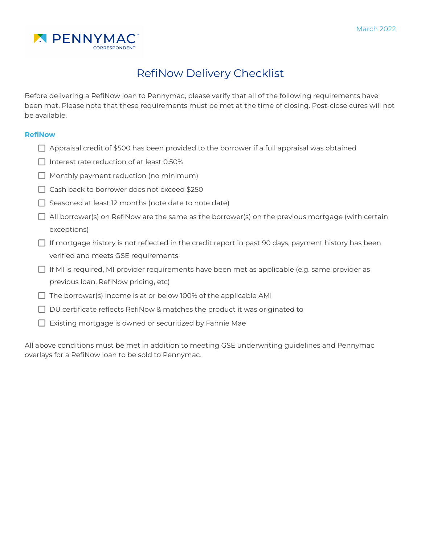

# RefiNow Delivery Checklist

Before delivering a RefiNow loan to Pennymac, please verify that all of the following requirements have been met. Please note that these requirements must be met at the time of closing. Post-close cures will not be available.

#### **RefiNow**

- $\Box$  Appraisal credit of \$500 has been provided to the borrower if a full appraisal was obtained
- $\Box$  Interest rate reduction of at least 0.50%
- $\Box$  Monthly payment reduction (no minimum)
- □ Cash back to borrower does not exceed \$250
- $\Box$  Seasoned at least 12 months (note date to note date)
- $\Box$  All borrower(s) on RefiNow are the same as the borrower(s) on the previous mortgage (with certain exceptions)
- $\Box$  If mortgage history is not reflected in the credit report in past 90 days, payment history has been verified and meets GSE requirements
- $\Box$  If MI is required, MI provider requirements have been met as applicable (e.g. same provider as previous loan, RefiNow pricing, etc)
- $\Box$  The borrower(s) income is at or below 100% of the applicable AMI
- $\Box$  DU certificate reflects RefiNow & matches the product it was originated to
- $\Box$  Existing mortgage is owned or securitized by Fannie Mae

All above conditions must be met in addition to meeting GSE underwriting guidelines and Pennymac overlays for a RefiNow loan to be sold to Pennymac.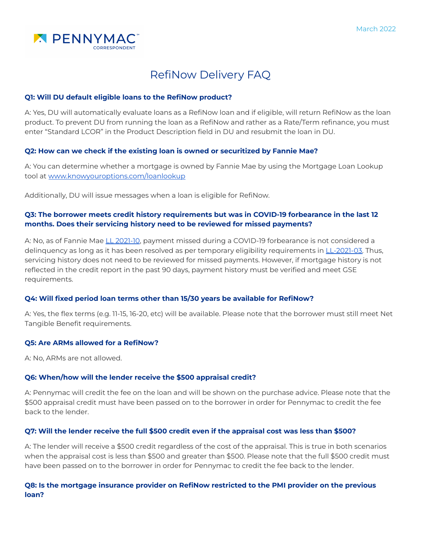

# RefiNow Delivery FAQ

#### **Q1: Will DU default eligible loans to the RefiNow product?**

A: Yes, DU will automatically evaluate loans as a RefiNow loan and if eligible, will return RefiNow as the loan product. To prevent DU from running the loan as a RefiNow and rather as a Rate/Term refinance, you must enter "Standard LCOR" in the Product Description field in DU and resubmit the loan in DU.

## **Q2: How can we check if the existing loan is owned or securitized by Fannie Mae?**

A: You can determine whether a mortgage is owned by Fannie Mae by using the Mortgage Loan Lookup tool at [www.knowyouroptions.com/loanlookup](http://www.knowyouroptions.com/loanlookup)

Additionally, DU will issue messages when a loan is eligible for RefiNow.

# **Q3: The borrower meets credit history requirements but was in COVID-19 forbearance in the last 12 months. Does their servicing history need to be reviewed for missed payments?**

A: No, as of Fannie Mae LL [2021-10](https://singlefamily.fanniemae.com/media/25696/display), payment missed during a COVID-19 forbearance is not considered a delinquency as long as it has been resolved as per temporary eligibility requirements in [LL-2021-03](https://singlefamily.fanniemae.com/media/24811/display). Thus, servicing history does not need to be reviewed for missed payments. However, if mortgage history is not reflected in the credit report in the past 90 days, payment history must be verified and meet GSE requirements.

#### **Q4: Will fixed period loan terms other than 15/30 years be available for RefiNow?**

A: Yes, the flex terms (e.g. 11-15, 16-20, etc) will be available. Please note that the borrower must still meet Net Tangible Benefit requirements.

#### **Q5: Are ARMs allowed for a RefiNow?**

A: No, ARMs are not allowed.

## **Q6: When/how will the lender receive the \$500 appraisal credit?**

A: Pennymac will credit the fee on the loan and will be shown on the purchase advice. Please note that the \$500 appraisal credit must have been passed on to the borrower in order for Pennymac to credit the fee back to the lender.

#### **Q7: Will the lender receive the full \$500 credit even if the appraisal cost was less than \$500?**

A: The lender will receive a \$500 credit regardless of the cost of the appraisal. This is true in both scenarios when the appraisal cost is less than \$500 and greater than \$500. Please note that the full \$500 credit must have been passed on to the borrower in order for Pennymac to credit the fee back to the lender.

## **Q8: Is the mortgage insurance provider on RefiNow restricted to the PMI provider on the previous loan?**